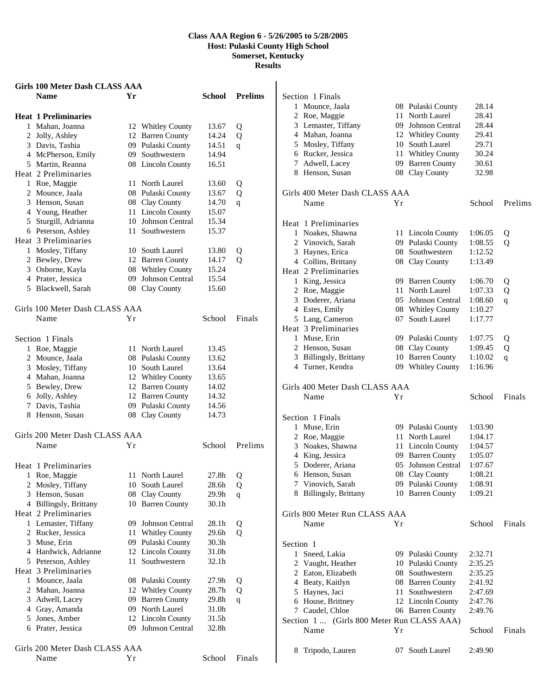### **Class AAA Region 6 - 5/26/2005 to 5/28/2005 Host: Pulaski County High School Somerset, Kentucky Results**

| Girls 100 Meter Dash CLASS AAA         |    |                        |                   |                |
|----------------------------------------|----|------------------------|-------------------|----------------|
| <b>Name</b>                            | Yr |                        | School            | <b>Prelims</b> |
| <b>Heat 1 Preliminaries</b>            |    |                        |                   |                |
| 1 Mahan, Joanna                        |    | 12 Whitley County      | 13.67             | Q              |
| 2 Jolly, Ashley                        |    | 12 Barren County       | 14.24             | Q              |
| 3 Davis, Tashia                        |    | 09 Pulaski County      | 14.51             | q              |
| 4 McPherson, Emily                     |    | 09 Southwestern        | 14.94             |                |
| 5 Martin, Reanna                       |    | 08 Lincoln County      | 16.51             |                |
| Heat 2 Preliminaries                   |    |                        |                   |                |
| 1 Roe, Maggie                          | 11 | North Laurel           | 13.60             | Q              |
| 2 Mounce, Jaala                        |    | 08 Pulaski County      | 13.67             | Q              |
| 3 Henson, Susan                        |    | 08 Clay County         | 14.70             | q              |
| 4 Young, Heather                       |    | 11 Lincoln County      | 15.07             |                |
| 5 Sturgill, Adrianna                   |    | 10 Johnson Central     | 15.34             |                |
| 6 Peterson, Ashley                     |    | 11 Southwestern        | 15.37             |                |
| Heat 3 Preliminaries                   |    |                        |                   |                |
| 1 Mosley, Tiffany                      |    | 10 South Laurel        | 13.80             | Q              |
| 2 Bewley, Drew                         |    | 12 Barren County       | 14.17             | Q              |
| 3 Osborne, Kayla                       |    | 08 Whitley County      | 15.24             |                |
| 4 Prater, Jessica                      | 09 | <b>Johnson Central</b> | 15.54             |                |
| 5 Blackwell, Sarah                     |    | 08 Clay County         | 15.60             |                |
|                                        |    |                        |                   |                |
| Girls 100 Meter Dash CLASS AAA         |    |                        |                   |                |
| Name                                   | Υr |                        | School            | Finals         |
| Section 1 Finals                       |    |                        |                   |                |
| 1 Roe, Maggie                          |    | 11 North Laurel        | 13.45             |                |
| 2 Mounce, Jaala                        |    | 08 Pulaski County      | 13.62             |                |
| 3 Mosley, Tiffany                      |    | 10 South Laurel        | 13.64             |                |
| 4 Mahan, Joanna                        |    | 12 Whitley County      | 13.65             |                |
| 5 Bewley, Drew                         |    | 12 Barren County       | 14.02             |                |
| 6 Jolly, Ashley                        |    | 12 Barren County       | 14.32             |                |
| 7 Davis, Tashia                        |    | 09 Pulaski County      | 14.56             |                |
| 8 Henson, Susan                        |    | 08 Clay County         | 14.73             |                |
|                                        |    |                        |                   |                |
| Girls 200 Meter Dash CLASS AAA         |    |                        |                   |                |
| Name                                   | Υr |                        | School            | Prelims        |
| Heat 1 Preliminaries                   |    |                        |                   |                |
| 1 Roe, Maggie                          |    | 11 North Laurel        | 27.8h             | Q              |
| 2 Mosley, Tiffany                      |    | 10 South Laurel        | 28.6h             | Q              |
| 3 Henson, Susan                        | 08 | Clay County            | 29.9h             | $\mathbf q$    |
| 4 Billingsly, Brittany                 |    | 10 Barren County       | 30.1h             |                |
| Heat 2 Preliminaries                   |    |                        |                   |                |
| 1 Lemaster, Tiffany                    |    | 09 Johnson Central     | 28.1h             | Q              |
| 2 Rucker, Jessica                      | 11 | <b>Whitley County</b>  | 29.6h             | Q              |
| 3 Muse, Erin                           |    | 09 Pulaski County      | 30.3 <sub>h</sub> |                |
| 4 Hardwick, Adrianne                   |    | 12 Lincoln County      | 31.0h             |                |
| 5 Peterson, Ashley                     | 11 | Southwestern           | 32.1h             |                |
| Heat 3 Preliminaries                   |    |                        |                   |                |
| 1 Mounce, Jaala                        |    | 08 Pulaski County      | 27.9h             | Q              |
| 2 Mahan, Joanna                        |    | 12 Whitley County      | 28.7h             | Q              |
| 3 Adwell, Lacey                        | 09 | <b>Barren County</b>   | 29.8h             | q              |
| 4 Gray, Amanda                         | 09 | North Laurel           | 31.0h             |                |
| 5 Jones, Amber                         |    | 12 Lincoln County      | 31.5h             |                |
| 6 Prater, Jessica                      |    | 09 Johnson Central     | 32.8h             |                |
|                                        |    |                        |                   |                |
| Girls 200 Meter Dash CLASS AAA<br>Name | Yr |                        | School            | Finals         |
|                                        |    |                        |                   |                |

|              | Section 1 Finals                           |     |                                      |         |         |
|--------------|--------------------------------------------|-----|--------------------------------------|---------|---------|
| 1            | Mounce, Jaala                              |     | 08 Pulaski County                    | 28.14   |         |
|              | 2 Roe, Maggie                              | 11  | North Laurel                         | 28.41   |         |
|              | 3 Lemaster, Tiffany                        |     | 09 Johnson Central                   | 28.44   |         |
|              | 4 Mahan, Joanna                            |     | 12 Whitley County                    | 29.41   |         |
|              | 5 Mosley, Tiffany                          |     | 10 South Laurel                      | 29.71   |         |
|              | 6 Rucker, Jessica                          | 11  | <b>Whitley County</b>                | 30.24   |         |
|              | 7 Adwell, Lacey                            |     | 09 Barren County                     | 30.61   |         |
|              | 8 Henson, Susan                            |     | 08 Clay County                       | 32.98   |         |
|              |                                            |     |                                      |         |         |
|              | Girls 400 Meter Dash CLASS AAA             |     |                                      |         |         |
|              | Name                                       | Υr  |                                      | School  | Prelims |
|              | Heat 1 Preliminaries                       |     |                                      |         |         |
|              | 1 Noakes, Shawna                           |     |                                      |         |         |
|              | 2 Vinovich, Sarah                          |     | 11 Lincoln County                    | 1:06.05 | Q       |
|              |                                            |     | 09 Pulaski County<br>08 Southwestern | 1:08.55 | Q       |
|              | 3 Haynes, Erica                            |     |                                      | 1:12.52 |         |
|              | 4 Collins, Brittany                        |     | 08 Clay County                       | 1:13.49 |         |
|              | Heat 2 Preliminaries                       |     |                                      |         |         |
|              | 1 King, Jessica                            |     | 09 Barren County                     | 1:06.70 | Q       |
|              | 2 Roe, Maggie                              | 11  | North Laurel                         | 1:07.33 | Q       |
|              | 3 Doderer, Ariana                          | 05  | Johnson Central                      | 1:08.60 | q       |
|              | 4 Estes, Emily                             |     | 08 Whitley County                    | 1:10.27 |         |
|              | 5 Lang, Cameron                            | 07  | South Laurel                         | 1:17.77 |         |
|              | Heat 3 Preliminaries                       |     |                                      |         |         |
|              | 1 Muse, Erin                               |     | 09 Pulaski County                    | 1:07.75 | Q       |
|              | 2 Henson, Susan                            |     | 08 Clay County                       | 1:09.45 | Q       |
|              | 3 Billingsly, Brittany                     |     | 10 Barren County                     | 1:10.02 | q       |
|              | 4 Turner, Kendra                           |     | 09 Whitley County                    | 1:16.96 |         |
|              |                                            |     |                                      |         |         |
|              |                                            |     |                                      |         |         |
|              | Girls 400 Meter Dash CLASS AAA             |     |                                      |         |         |
|              | Name                                       | Υr  |                                      | School  | Finals  |
|              | Section 1 Finals                           |     |                                      |         |         |
|              |                                            |     |                                      |         |         |
|              | 1 Muse, Erin                               |     | 09 Pulaski County<br>11 North Laurel | 1:03.90 |         |
|              | 2 Roe, Maggie                              |     |                                      | 1:04.17 |         |
|              | 3 Noakes, Shawna                           |     | 11 Lincoln County                    | 1:04.57 |         |
|              | 4 King, Jessica                            |     | 09 Barren County                     | 1:05.07 |         |
|              | 5 Doderer, Ariana                          | 05  | Johnson Central                      | 1:07.67 |         |
|              | 6 Henson, Susan                            |     | 08 Clay County                       | 1:08.21 |         |
|              | 7 Vinovich, Sarah                          |     | 09 Pulaski County                    | 1:08.91 |         |
|              | 8 Billingsly, Brittany                     |     | 10 Barren County                     | 1:09.21 |         |
|              | Girls 800 Meter Run CLASS AAA              |     |                                      |         |         |
|              | Name                                       | Υr  |                                      | School  | Finals  |
|              |                                            |     |                                      |         |         |
| Section 1    |                                            |     |                                      |         |         |
| $\mathbf{1}$ | Sneed, Lakia                               |     | 09 Pulaski County                    | 2:32.71 |         |
|              | 2 Vaught, Heather                          |     | 10 Pulaski County                    | 2:35.25 |         |
|              | 2 Eaton, Elizabeth                         |     | 08 Southwestern                      | 2:35.25 |         |
|              | 4 Beaty, Kaitlyn                           |     | 08 Barren County                     | 2:41.92 |         |
|              | 5 Haynes, Jaci                             | 11- | Southwestern                         | 2:47.69 |         |
|              | 6 House, Brittney                          |     | 12 Lincoln County                    | 2:47.76 |         |
|              | 7 Caudel, Chloe                            |     | 06 Barren County                     | 2:49.76 |         |
|              | Section 1  (Girls 800 Meter Run CLASS AAA) |     |                                      |         |         |
|              | Name                                       | Υr  |                                      | School  | Finals  |
|              |                                            |     |                                      |         |         |
| 8            | Tripodo, Lauren                            | 07  | South Laurel                         | 2:49.90 |         |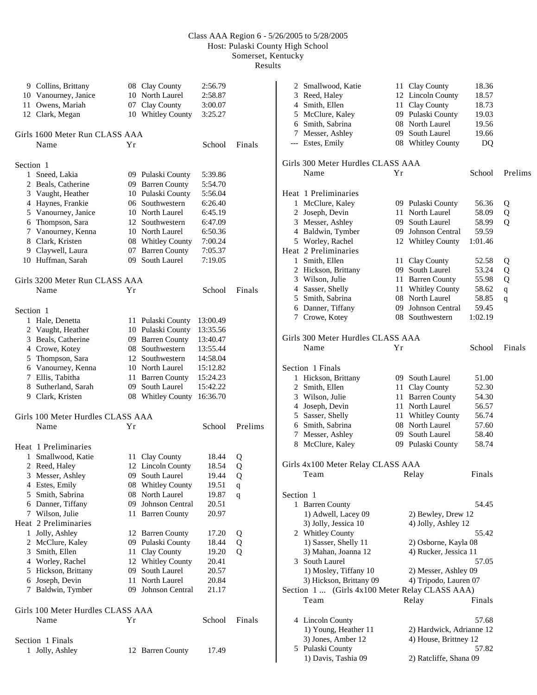# Class AAA Region 6 - 5/26/2005 to 5/28/2005 Host: Pulaski County High School Somerset, Kentucky

Results

|                | 9 Collins, Brittany<br>10 Vanourney, Janice<br>11 Owens, Mariah<br>12 Clark, Megan | 10 | 08 Clay County<br>North Laurel<br>07 Clay County<br>10 Whitley County | 2:56.79<br>2:58.87<br>3:00.07<br>3:25.27 |             |
|----------------|------------------------------------------------------------------------------------|----|-----------------------------------------------------------------------|------------------------------------------|-------------|
|                | Girls 1600 Meter Run CLASS AAA<br>Name                                             | Υr |                                                                       | School                                   | Finals      |
|                |                                                                                    |    |                                                                       |                                          |             |
| Section 1<br>1 | Sneed, Lakia                                                                       |    | 09 Pulaski County                                                     | 5:39.86                                  |             |
|                | 2 Beals, Catherine                                                                 |    | 09 Barren County                                                      | 5:54.70                                  |             |
|                | 3 Vaught, Heather                                                                  |    | 10 Pulaski County                                                     | 5:56.04                                  |             |
|                | 4 Haynes, Frankie                                                                  |    | 06 Southwestern                                                       | 6:26.40                                  |             |
|                | 5 Vanourney, Janice                                                                |    | 10 North Laurel                                                       | 6:45.19                                  |             |
|                | 6 Thompson, Sara                                                                   |    | 12 Southwestern                                                       | 6:47.09                                  |             |
|                | 7 Vanourney, Kenna                                                                 |    | 10 North Laurel                                                       | 6:50.36                                  |             |
|                | 8 Clark, Kristen                                                                   |    | 08 Whitley County                                                     | 7:00.24                                  |             |
|                | 9 Claywell, Laura                                                                  |    | 07 Barren County                                                      | 7:05.37                                  |             |
|                | 10 Huffman, Sarah                                                                  |    | 09 South Laurel                                                       | 7:19.05                                  |             |
|                | Girls 3200 Meter Run CLASS AAA                                                     |    |                                                                       |                                          |             |
|                | Name                                                                               | Υr |                                                                       | School                                   | Finals      |
|                |                                                                                    |    |                                                                       |                                          |             |
| Section 1      |                                                                                    |    |                                                                       |                                          |             |
|                | 1 Hale, Denetta                                                                    |    | 11 Pulaski County                                                     | 13:00.49                                 |             |
|                | 2 Vaught, Heather                                                                  |    | 10 Pulaski County                                                     | 13:35.56                                 |             |
|                | 3 Beals, Catherine                                                                 |    | 09 Barren County                                                      | 13:40.47                                 |             |
|                | 4 Crowe, Kotey                                                                     |    | 08 Southwestern                                                       | 13:55.44                                 |             |
|                | 5 Thompson, Sara                                                                   |    | 12 Southwestern                                                       | 14:58.04                                 |             |
|                | 6 Vanourney, Kenna                                                                 |    | 10 North Laurel                                                       | 15:12.82                                 |             |
|                | 7 Ellis, Tabitha                                                                   | 11 | <b>Barren County</b>                                                  | 15:24.23                                 |             |
|                | 8 Sutherland, Sarah                                                                |    | 09 South Laurel                                                       | 15:42.22                                 |             |
|                | 9 Clark, Kristen                                                                   |    | 08 Whitley County                                                     | 16:36.70                                 |             |
|                | Girls 100 Meter Hurdles CLASS AAA                                                  |    |                                                                       |                                          |             |
|                | Name                                                                               | Υr |                                                                       | School                                   | Prelims     |
|                | Heat 1 Preliminaries                                                               |    |                                                                       |                                          |             |
|                | 1 Smallwood, Katie                                                                 |    | 11 Clay County                                                        | 18.44                                    |             |
| 2              | Reed, Haley                                                                        | 12 | <b>Lincoln County</b>                                                 | 18.54                                    | Q<br>Q      |
| 3              | Messer, Ashley                                                                     | 09 | South Laurel                                                          | 19.44                                    | Q           |
|                | 4 Estes, Emily                                                                     | 08 | <b>Whitley County</b>                                                 | 19.51                                    | $\mathbf q$ |
|                | 5 Smith, Sabrina                                                                   | 08 | North Laurel                                                          | 19.87                                    | q           |
|                | 6 Danner, Tiffany                                                                  | 09 | Johnson Central                                                       | 20.51                                    |             |
|                | 7 Wilson, Julie                                                                    | 11 | <b>Barren County</b>                                                  | 20.97                                    |             |
|                | Heat 2 Preliminaries                                                               |    |                                                                       |                                          |             |
|                | 1 Jolly, Ashley                                                                    | 12 | <b>Barren County</b>                                                  | 17.20                                    | Q           |
|                | 2 McClure, Kaley                                                                   |    | 09 Pulaski County                                                     | 18.44                                    | Q           |
|                | 3 Smith, Ellen                                                                     | 11 | Clay County                                                           | 19.20                                    | Q           |
|                | 4 Worley, Rachel                                                                   | 12 | <b>Whitley County</b>                                                 | 20.41                                    |             |
|                | 5 Hickson, Brittany                                                                | 09 | South Laurel                                                          | 20.57                                    |             |
|                | 6 Joseph, Devin                                                                    | 11 | North Laurel                                                          | 20.84                                    |             |
| 7              | Baldwin, Tymber                                                                    | 09 | <b>Johnson Central</b>                                                | 21.17                                    |             |
|                |                                                                                    |    |                                                                       |                                          |             |
|                | Girls 100 Meter Hurdles CLASS AAA                                                  |    |                                                                       |                                          |             |
|                | Name                                                                               | Υr |                                                                       | School                                   | Finals      |
|                | Section 1 Finals                                                                   |    |                                                                       |                                          |             |
|                | 1 Jolly, Ashley                                                                    |    | 12 Barren County                                                      | 17.49                                    |             |
|                |                                                                                    |    |                                                                       |                                          |             |

|           | 2 Smallwood, Katie<br>3 Reed, Haley            | 11<br>12 | Clay County<br><b>Lincoln County</b> | 18.36<br>18.57 |             |
|-----------|------------------------------------------------|----------|--------------------------------------|----------------|-------------|
|           | 4 Smith, Ellen<br>5 McClure, Kaley             | 11       | Clay County<br>09 Pulaski County     | 18.73<br>19.03 |             |
|           | 6 Smith, Sabrina                               |          | 08 North Laurel                      | 19.56          |             |
|           | 7 Messer, Ashley<br>--- Estes, Emily           |          | 09 South Laurel<br>08 Whitley County | 19.66<br>DQ    |             |
|           | Girls 300 Meter Hurdles CLASS AAA              |          |                                      |                |             |
|           | Name                                           | Υr       |                                      | School         | Prelims     |
|           | Heat 1 Preliminaries                           |          |                                      |                |             |
|           | 1 McClure, Kaley                               |          | 09 Pulaski County                    | 56.36          | Q           |
|           | 2 Joseph, Devin                                | 11       | North Laurel                         | 58.09          | Q           |
|           | 3 Messer, Ashley                               | 09.      | South Laurel                         | 58.99          | Q           |
|           | 4 Baldwin, Tymber                              |          | 09 Johnson Central                   | 59.59          |             |
|           | 5 Worley, Rachel                               |          | 12 Whitley County                    | 1:01.46        |             |
|           | Heat 2 Preliminaries                           |          |                                      |                |             |
|           | 1 Smith, Ellen                                 | 11       | Clay County                          | 52.58          | Q           |
|           | 2 Hickson, Brittany                            |          | 09 South Laurel                      | 53.24          | Q           |
|           | 3 Wilson, Julie                                | 11       | <b>Barren County</b>                 | 55.98          | Q           |
|           | 4 Sasser, Shelly                               | 11       | <b>Whitley County</b>                | 58.62          | $\mathbf q$ |
|           | 5 Smith, Sabrina                               | 08       | North Laurel                         | 58.85          | q           |
|           | 6 Danner, Tiffany                              | 09       | Johnson Central                      | 59.45          |             |
|           | 7 Crowe, Kotey                                 |          | 08 Southwestern                      | 1:02.19        |             |
|           | Girls 300 Meter Hurdles CLASS AAA              |          |                                      |                |             |
|           | Name                                           | Υr       |                                      | School         | Finals      |
|           |                                                |          |                                      |                |             |
|           | Section 1 Finals                               |          |                                      |                |             |
|           | 1 Hickson, Brittany                            |          | 09 South Laurel                      | 51.00          |             |
|           | 2 Smith, Ellen                                 | 11       | Clay County                          | 52.30          |             |
|           | 3 Wilson, Julie                                | 11       | <b>Barren County</b>                 | 54.30          |             |
|           | 4 Joseph, Devin                                | 11       | North Laurel                         | 56.57          |             |
|           | 5 Sasser, Shelly                               |          | 11 Whitley County                    | 56.74          |             |
|           | 6 Smith, Sabrina                               | 08       | North Laurel                         | 57.60          |             |
|           | 7 Messer, Ashley                               | 09       | South Laurel                         | 58.40          |             |
|           | 8 McClure, Kaley                               |          | 09 Pulaski County                    | 58.74          |             |
|           | Girls 4x100 Meter Relay CLASS AAA              |          |                                      |                |             |
|           | Team                                           |          | Relay                                | <b>Finals</b>  |             |
|           |                                                |          |                                      |                |             |
| Section 1 | 1 Barren County                                |          |                                      | 54.45          |             |
|           | 1) Adwell, Lacey 09                            |          | 2) Bewley, Drew 12                   |                |             |
|           | 3) Jolly, Jessica 10                           |          | 4) Jolly, Ashley 12                  |                |             |
|           | 2 Whitley County                               |          |                                      | 55.42          |             |
|           | 1) Sasser, Shelly 11                           |          | 2) Osborne, Kayla 08                 |                |             |
|           | 3) Mahan, Joanna 12                            |          | 4) Rucker, Jessica 11                |                |             |
|           | 3 South Laurel                                 |          |                                      | 57.05          |             |
|           | 1) Mosley, Tiffany 10                          |          | 2) Messer, Ashley 09                 |                |             |
|           | 3) Hickson, Brittany 09                        |          | 4) Tripodo, Lauren 07                |                |             |
|           | Section 1  (Girls 4x100 Meter Relay CLASS AAA) |          |                                      |                |             |
|           | Team                                           |          | Relay                                | Finals         |             |
|           |                                                |          |                                      |                |             |
|           | 4 Lincoln County                               |          |                                      | 57.68          |             |
|           | 1) Young, Heather 11                           |          | 2) Hardwick, Adrianne 12             |                |             |
|           | 3) Jones, Amber 12                             |          | 4) House, Brittney 12                |                |             |
|           | 5 Pulaski County                               |          |                                      | 57.82          |             |
|           | 1) Davis, Tashia 09                            |          | 2) Ratcliffe, Shana 09               |                |             |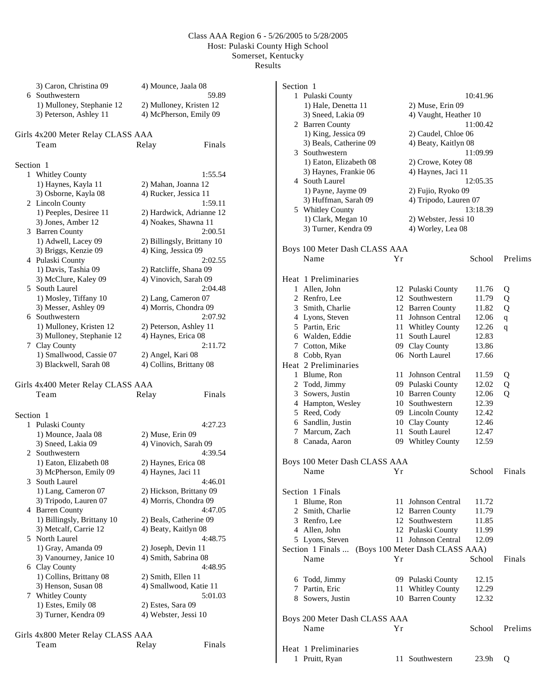### Class AAA Region 6 - 5/26/2005 to 5/28/2005 Host: Pulaski County High School Somerset, Kentucky Results

|           | 3) Caron, Christina 09<br>6 Southwestern            | 4) Mounce, Jaala 08<br>59.89                      |
|-----------|-----------------------------------------------------|---------------------------------------------------|
|           | 1) Mulloney, Stephanie 12<br>3) Peterson, Ashley 11 | 2) Mulloney, Kristen 12<br>4) McPherson, Emily 09 |
|           | Girls 4x200 Meter Relay CLASS AAA                   |                                                   |
|           | Team                                                | Finals<br>Relay                                   |
|           |                                                     |                                                   |
| Section 1 |                                                     |                                                   |
|           | 1 Whitley County                                    | 1:55.54                                           |
|           | 1) Haynes, Kayla 11                                 | 2) Mahan, Joanna 12                               |
|           | 3) Osborne, Kayla 08                                | 4) Rucker, Jessica 11                             |
|           | 2 Lincoln County<br>1) Peeples, Desiree 11          | 1:59.11<br>2) Hardwick, Adrianne 12               |
|           | 3) Jones, Amber 12                                  | 4) Noakes, Shawna 11                              |
|           | 3 Barren County                                     | 2:00.51                                           |
|           | 1) Adwell, Lacey 09                                 | 2) Billingsly, Brittany 10                        |
|           | 3) Briggs, Kenzie 09                                | 4) King, Jessica 09                               |
|           | 4 Pulaski County                                    | 2:02.55                                           |
|           | 1) Davis, Tashia 09                                 | 2) Ratcliffe, Shana 09                            |
|           | 3) McClure, Kaley 09<br>5 South Laurel              | 4) Vinovich, Sarah 09<br>2:04.48                  |
|           | 1) Mosley, Tiffany 10                               | 2) Lang, Cameron 07                               |
|           | 3) Messer, Ashley 09                                | 4) Morris, Chondra 09                             |
|           | 6 Southwestern                                      | 2:07.92                                           |
|           | 1) Mulloney, Kristen 12                             | 2) Peterson, Ashley 11                            |
|           | 3) Mulloney, Stephanie 12                           | 4) Haynes, Erica 08                               |
|           | 7 Clay County                                       | 2:11.72                                           |
|           | 1) Smallwood, Cassie 07                             | 2) Angel, Kari 08                                 |
|           | 3) Blackwell, Sarah 08                              | 4) Collins, Brittany 08                           |
|           | Girls 4x400 Meter Relay CLASS AAA                   |                                                   |
|           | Team                                                | Relay<br>Finals                                   |
|           |                                                     |                                                   |
| Section 1 |                                                     |                                                   |
|           | 1 Pulaski County                                    | 4:27.23                                           |
|           | 1) Mounce, Jaala 08                                 | 2) Muse, Erin 09                                  |
|           | 3) Sneed, Lakia 09                                  | 4) Vinovich, Sarah 09                             |
|           | 2 Southwestern                                      | 4:39.54                                           |
|           | 1) Eaton, Elizabeth 08<br>3) McPherson, Emily 09    | 2) Haynes, Erica 08<br>4) Haynes, Jaci 11         |
|           | 3 South Laurel                                      | 4:46.01                                           |
|           | 1) Lang, Cameron 07                                 | 2) Hickson, Brittany 09                           |
|           | 3) Tripodo, Lauren 07                               | 4) Morris, Chondra 09                             |
|           | 4 Barren County                                     | 4:47.05                                           |
|           | 1) Billingsly, Brittany 10                          | 2) Beals, Catherine 09                            |
|           | 3) Metcalf, Carrie 12                               | 4) Beaty, Kaitlyn 08<br>4:48.75                   |
|           | 5 North Laurel<br>1) Gray, Amanda 09                | 2) Joseph, Devin 11                               |
|           | 3) Vanourney, Janice 10                             | 4) Smith, Sabrina 08                              |
|           | 6 Clay County                                       | 4:48.95                                           |
|           | 1) Collins, Brittany 08                             | 2) Smith, Ellen 11                                |
|           | 3) Henson, Susan 08                                 | 4) Smallwood, Katie 11                            |
| 7         | <b>Whitley County</b>                               | 5:01.03                                           |
|           | 1) Estes, Emily 08                                  | 2) Estes, Sara 09                                 |
|           | 3) Turner, Kendra 09                                | 4) Webster, Jessi 10                              |
|           | Girls 4x800 Meter Relay CLASS AAA                   |                                                   |

| Section 1    |                                       |    |                                 |          |             |
|--------------|---------------------------------------|----|---------------------------------|----------|-------------|
|              | 1 Pulaski County                      |    |                                 | 10:41.96 |             |
|              | 1) Hale, Denetta 11                   |    | 2) Muse, Erin 09                |          |             |
|              | 3) Sneed, Lakia 09                    |    | 4) Vaught, Heather 10           |          |             |
|              | 2 Barren County                       |    |                                 | 11:00.42 |             |
|              | 1) King, Jessica 09                   |    | 2) Caudel, Chloe 06             |          |             |
|              | 3) Beals, Catherine 09                |    | 4) Beaty, Kaitlyn 08            |          |             |
|              | 3 Southwestern                        |    |                                 | 11:09.99 |             |
|              | 1) Eaton, Elizabeth 08                |    | 2) Crowe, Kotey 08              |          |             |
|              | 3) Haynes, Frankie 06                 |    | 4) Haynes, Jaci 11              |          |             |
|              | 4 South Laurel                        |    |                                 | 12:05.35 |             |
|              | 1) Payne, Jayme 09                    |    | 2) Fujio, Ryoko 09              |          |             |
|              | 3) Huffman, Sarah 09                  |    | 4) Tripodo, Lauren 07           |          |             |
|              | 5 Whitley County                      |    |                                 | 13:18.39 |             |
|              | 1) Clark, Megan 10                    |    | 2) Webster, Jessi 10            |          |             |
|              | 3) Turner, Kendra 09                  |    | 4) Worley, Lea 08               |          |             |
|              |                                       |    |                                 |          |             |
|              | Boys 100 Meter Dash CLASS AAA         |    |                                 |          |             |
|              | Name                                  | Υr |                                 | School   | Prelims     |
|              | Heat 1 Preliminaries                  |    |                                 |          |             |
|              | 1 Allen, John                         |    | 12 Pulaski County               | 11.76    | Q           |
|              | 2 Renfro, Lee                         |    | 12 Southwestern                 | 11.79    | Q           |
|              | 3 Smith, Charlie                      |    | 12 Barren County                | 11.82    | Q           |
|              | 4 Lyons, Steven                       | 11 | Johnson Central                 | 12.06    | $\mathbf q$ |
|              | 5 Partin, Eric                        |    | 11 Whitley County               | 12.26    | q           |
|              | 6 Walden, Eddie                       |    | 11 South Laurel                 | 12.83    |             |
|              | 7 Cotton, Mike                        |    | 09 Clay County                  | 13.86    |             |
|              | 8 Cobb, Ryan                          |    | 06 North Laurel                 | 17.66    |             |
|              | Heat 2 Preliminaries                  |    |                                 |          |             |
|              | 1 Blume, Ron                          | 11 | Johnson Central                 | 11.59    | Q           |
|              | 2 Todd, Jimmy                         |    | 09 Pulaski County               | 12.02    | Q           |
|              | 3 Sowers, Justin                      |    | 10 Barren County                | 12.06    | Q           |
|              | 4 Hampton, Wesley                     |    | 10 Southwestern                 | 12.39    |             |
|              | 5 Reed, Cody                          |    | 09 Lincoln County               | 12.42    |             |
|              | 6 Sandlin, Justin                     |    | 10 Clay County                  | 12.46    |             |
|              | 7 Marcum, Zach                        | 11 | South Laurel                    | 12.47    |             |
|              | 8 Canada, Aaron                       |    | 09 Whitley County               | 12.59    |             |
|              |                                       |    |                                 |          |             |
|              | Boys 100 Meter Dash CLASS AAA         |    |                                 |          |             |
|              | Name<br>Yr                            |    |                                 | School   | Finals      |
|              |                                       |    |                                 |          |             |
|              | Section 1 Finals<br>1 Blume, Ron      |    | 11 Johnson Central              | 11.72    |             |
|              | 2 Smith, Charlie                      |    | 12 Barren County                | 11.79    |             |
|              | 3 Renfro, Lee                         |    | 12 Southwestern                 | 11.85    |             |
|              | 4 Allen, John                         |    | 12 Pulaski County               | 11.99    |             |
|              | 5 Lyons, Steven                       |    | 11 Johnson Central              | 12.09    |             |
|              | Section 1 Finals                      |    | (Boys 100 Meter Dash CLASS AAA) |          |             |
|              |                                       | Yr |                                 |          |             |
|              | Name                                  |    |                                 | School   | Finals      |
|              | 6 Todd, Jimmy                         |    | 09 Pulaski County               | 12.15    |             |
|              | 7 Partin, Eric                        |    | 11 Whitley County               | 12.29    |             |
|              | 8 Sowers, Justin                      |    | 10 Barren County                | 12.32    |             |
|              |                                       |    |                                 |          |             |
|              | Boys 200 Meter Dash CLASS AAA<br>Name | Υr |                                 | School   | Prelims     |
|              |                                       |    |                                 |          |             |
|              | Heat 1 Preliminaries                  |    |                                 |          |             |
| $\mathbf{1}$ | Pruitt, Ryan                          |    | 11 Southwestern                 | 23.9h    | Q           |

Team Relay Finals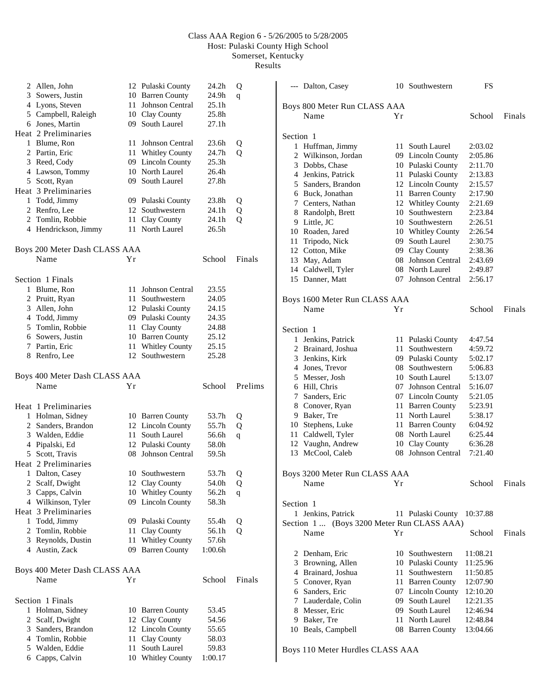# Class AAA Region 6 - 5/26/2005 to 5/28/2005 Host: Pulaski County High School Somerset, Kentucky

Results

|              | 2 Allen, John                       |    | 12 Pulaski County           | 24.2h          | Q           |
|--------------|-------------------------------------|----|-----------------------------|----------------|-------------|
|              | 3 Sowers, Justin                    | 10 | <b>Barren County</b>        | 24.9h          | q           |
|              | 4 Lyons, Steven                     | 11 | Johnson Central             | 25.1h          |             |
|              | 5 Campbell, Raleigh                 |    | 10 Clay County              | 25.8h          |             |
|              | 6 Jones, Martin                     |    | 09 South Laurel             | 27.1h          |             |
|              | Heat 2 Preliminaries                |    |                             |                |             |
|              | 1 Blume, Ron                        | 11 | Johnson Central             | 23.6h          | Q           |
|              | 2 Partin, Eric                      |    | 11 Whitley County           | 24.7h          | Q           |
|              | 3 Reed, Cody                        |    | 09 Lincoln County           | 25.3h          |             |
|              | 4 Lawson, Tommy                     |    | 10 North Laurel             | 26.4h          |             |
|              | 5 Scott, Ryan                       |    | 09 South Laurel             | 27.8h          |             |
|              | Heat 3 Preliminaries                |    |                             |                |             |
|              | 1 Todd, Jimmy                       |    | 09 Pulaski County           | 23.8h          | Q           |
|              | 2 Renfro, Lee                       |    | 12 Southwestern             | 24.1h          | Q           |
|              | 2 Tomlin, Robbie                    |    | 11 Clay County              | 24.1h          | Q           |
|              | 4 Hendrickson, Jimmy                |    | 11 North Laurel             | 26.5h          |             |
|              |                                     |    |                             |                |             |
|              | Boys 200 Meter Dash CLASS AAA       |    |                             |                |             |
|              | Name                                | Υr |                             | School         | Finals      |
|              |                                     |    |                             |                |             |
|              | Section 1 Finals                    |    |                             |                |             |
|              | 1 Blume, Ron                        |    | 11 Johnson Central          | 23.55          |             |
|              | 2 Pruitt, Ryan                      | 11 | Southwestern                | 24.05          |             |
|              | 3 Allen, John                       |    | 12 Pulaski County           | 24.15          |             |
|              | 4 Todd, Jimmy                       |    | 09 Pulaski County           | 24.35          |             |
|              | 5 Tomlin, Robbie                    | 11 | Clay County                 | 24.88          |             |
|              | 6 Sowers, Justin                    |    | 10 Barren County            | 25.12          |             |
|              | 7 Partin, Eric                      | 11 | <b>Whitley County</b>       | 25.15          |             |
|              |                                     |    |                             |                |             |
|              | 8 Renfro, Lee                       |    | 12 Southwestern             | 25.28          |             |
|              |                                     |    |                             |                |             |
|              | Boys 400 Meter Dash CLASS AAA       |    |                             |                |             |
|              | Name                                | Υr |                             | School         | Prelims     |
|              |                                     |    |                             |                |             |
|              | Heat 1 Preliminaries                |    |                             |                |             |
|              | 1 Holman, Sidney                    |    | 10 Barren County            | 53.7h          | Q           |
|              | 2 Sanders, Brandon                  |    | 12 Lincoln County           | 55.7h          | Q           |
|              | 3 Walden, Eddie                     | 11 | South Laurel                | 56.6h          | q           |
|              | 4 Pipalski, Ed                      |    | 12 Pulaski County           | 58.0h          |             |
|              | 5 Scott, Travis                     |    | 08 Johnson Central          | 59.5h          |             |
|              | Heat 2 Preliminaries                |    |                             |                |             |
|              | 1 Dalton, Casey                     |    | 10 Southwestern             | 53.7h Q        |             |
|              | 2 Scalf, Dwight                     |    | 12 Clay County              | 54.0h          | Q           |
|              | 3 Capps, Calvin                     | 10 | <b>Whitley County</b>       | 56.2h          | $\mathbf q$ |
|              | 4 Wilkinson, Tyler                  | 09 | <b>Lincoln County</b>       | 58.3h          |             |
|              | Heat 3 Preliminaries                |    |                             |                |             |
| $\mathbf{1}$ | Todd, Jimmy                         |    | 09 Pulaski County           | 55.4h          | Q           |
| 2            | Tomlin, Robbie                      | 11 | Clay County                 | 56.1h          | Q           |
|              | 3 Reynolds, Dustin                  | 11 | <b>Whitley County</b>       | 57.6h          |             |
|              | 4 Austin, Zack                      | 09 | <b>Barren County</b>        | 1:00.6h        |             |
|              |                                     |    |                             |                |             |
|              | Boys 400 Meter Dash CLASS AAA       |    |                             |                |             |
|              | Name                                | Υr |                             | School         | Finals      |
|              | Section 1 Finals                    |    |                             |                |             |
| 1            |                                     |    | 10 Barren County            | 53.45          |             |
| 2            | Holman, Sidney                      | 12 |                             | 54.56          |             |
|              | Scalf, Dwight<br>3 Sanders, Brandon | 12 | Clay County                 | 55.65          |             |
|              |                                     | 11 | <b>Lincoln County</b>       |                |             |
|              | 4 Tomlin, Robbie<br>5 Walden, Eddie | 11 | Clay County<br>South Laurel | 58.03<br>59.83 |             |

|                              | --- Dalton, Casey                          |    | 10 Southwestern                               | FS                 |        |
|------------------------------|--------------------------------------------|----|-----------------------------------------------|--------------------|--------|
| Boys 800 Meter Run CLASS AAA |                                            |    |                                               |                    |        |
|                              | Name                                       | Υr |                                               | School             | Finals |
|                              |                                            |    |                                               |                    |        |
| Section 1                    |                                            |    |                                               |                    |        |
|                              | 1 Huffman, Jimmy                           |    | 11 South Laurel                               | 2:03.02            |        |
|                              | 2 Wilkinson, Jordan                        |    | 09 Lincoln County                             | 2:05.86            |        |
|                              | 3 Dobbs, Chase<br>4 Jenkins, Patrick       |    | 10 Pulaski County<br>11 Pulaski County        | 2:11.70<br>2:13.83 |        |
|                              | 5 Sanders, Brandon                         |    | 12 Lincoln County                             | 2:15.57            |        |
|                              | 6 Buck, Jonathan                           |    | 11 Barren County                              | 2:17.90            |        |
|                              | 7 Centers, Nathan                          |    | 12 Whitley County                             |                    |        |
|                              |                                            |    | 10 Southwestern                               | 2:21.69<br>2:23.84 |        |
|                              | 8 Randolph, Brett<br>9 Little, JC          |    | 10 Southwestern                               | 2:26.51            |        |
|                              | 10 Roaden, Jared                           |    |                                               | 2:26.54            |        |
|                              |                                            |    | 10 Whitley County                             |                    |        |
|                              | 11 Tripodo, Nick                           |    | 09 South Laurel                               | 2:30.75            |        |
|                              | 12 Cotton, Mike                            |    | 09 Clay County                                | 2:38.36            |        |
|                              | 13 May, Adam                               |    | 08 Johnson Central                            | 2:43.69            |        |
|                              | 14 Caldwell, Tyler                         | 08 | North Laurel                                  | 2:49.87            |        |
|                              | 15 Danner, Matt                            |    | 07 Johnson Central                            | 2:56.17            |        |
|                              | Boys 1600 Meter Run CLASS AAA              |    |                                               |                    |        |
|                              | Name                                       | Υr |                                               | School             | Finals |
|                              |                                            |    |                                               |                    |        |
| Section 1                    |                                            |    |                                               |                    |        |
|                              | 1 Jenkins, Patrick                         |    | 11 Pulaski County                             | 4:47.54            |        |
|                              | 2 Brainard, Joshua                         | 11 | Southwestern                                  | 4:59.72            |        |
|                              | 3 Jenkins, Kirk                            |    | 09 Pulaski County                             | 5:02.17            |        |
|                              | 4 Jones, Trevor                            |    | 08 Southwestern                               | 5:06.83            |        |
|                              | 5 Messer, Josh                             |    | 10 South Laurel                               | 5:13.07            |        |
|                              | 6 Hill, Chris                              | 07 | Johnson Central                               | 5:16.07            |        |
|                              | 7 Sanders, Eric                            |    | 07 Lincoln County                             | 5:21.05            |        |
|                              | 8 Conover, Ryan                            |    | 11 Barren County                              | 5:23.91            |        |
|                              | 9 Baker, Tre                               |    | 11 North Laurel                               | 5:38.17            |        |
|                              | 10 Stephens, Luke                          |    | 11 Barren County                              | 6:04.92            |        |
|                              | 11 Caldwell, Tyler                         |    | 08 North Laurel                               | 6:25.44            |        |
|                              | 12 Vaughn, Andrew                          |    | 10 Clay County                                | 6:36.28            |        |
|                              | 13 McCool, Caleb                           |    | 08 Johnson Central                            | 7:21.40            |        |
|                              | Boys 3200 Meter Run CLASS AAA              |    |                                               |                    |        |
|                              | Name                                       | Υr |                                               | School             | Finals |
|                              |                                            |    |                                               |                    |        |
| Section 1                    |                                            |    |                                               |                    |        |
|                              | 1 Jenkins, Patrick                         |    | 11 Pulaski County 10:37.88                    |                    |        |
|                              | Section 1  (Boys 3200 Meter Run CLASS AAA) |    |                                               |                    |        |
|                              | Name                                       | Υr |                                               | School             | Finals |
|                              | 2 Denham, Eric                             |    | 10 Southwestern                               | 11:08.21           |        |
|                              | 3 Browning, Allen                          |    | 10 Pulaski County                             | 11:25.96           |        |
|                              | 4 Brainard, Joshua                         |    | 11 Southwestern                               | 11:50.85           |        |
|                              | 5 Conover, Ryan                            |    | 11 Barren County                              | 12:07.90           |        |
|                              | 6 Sanders, Eric                            |    |                                               |                    |        |
|                              |                                            |    | 07 Lincoln County 12:10.20<br>09 South Laurel |                    |        |
|                              | 7 Lauderdale, Colin                        |    |                                               | 12:21.35           |        |
|                              | 8 Messer, Eric                             |    | 09 South Laurel                               | 12:46.94           |        |
|                              | 9 Baker, Tre                               | 11 | North Laurel                                  | 12:48.84           |        |
|                              | 10 Beals, Campbell                         |    | 08 Barren County                              | 13:04.66           |        |
|                              | Boys 110 Meter Hurdles CLASS AAA           |    |                                               |                    |        |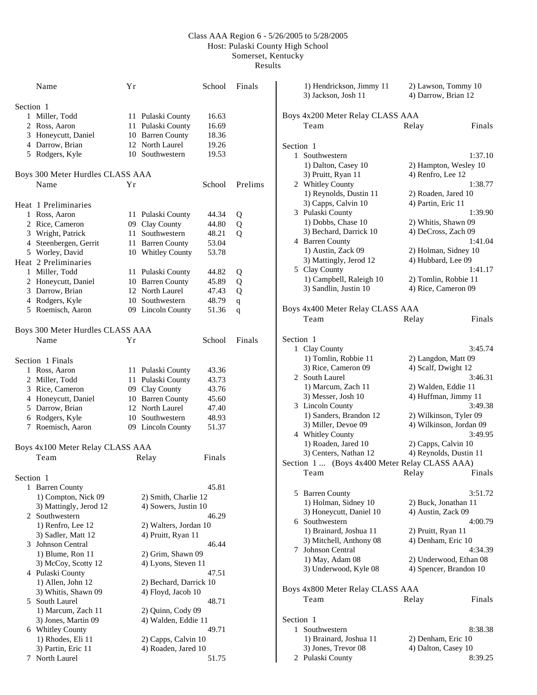## Class AAA Region 6 - 5/26/2005 to 5/28/2005 Host: Pulaski County High School Somerset, Kentucky

Results

|           | Name                             | Yr                         | School | Finals      | 1) Hendrickson, Jimmy 11<br>3) Jackson, Josh 11 | 2) Lawson, Tommy 10<br>4) Darrow, Brian 12 |         |
|-----------|----------------------------------|----------------------------|--------|-------------|-------------------------------------------------|--------------------------------------------|---------|
| Section 1 |                                  |                            |        |             |                                                 |                                            |         |
|           | 1 Miller, Todd                   | 11 Pulaski County          | 16.63  |             | Boys 4x200 Meter Relay CLASS AAA                |                                            |         |
|           | 2 Ross, Aaron                    | 11 Pulaski County          | 16.69  |             | Team                                            | Relay                                      | Finals  |
|           | 3 Honeycutt, Daniel              | 10 Barren County           | 18.36  |             |                                                 |                                            |         |
|           | 4 Darrow, Brian                  | 12 North Laurel            | 19.26  |             | Section 1                                       |                                            |         |
|           | 5 Rodgers, Kyle                  | 10 Southwestern            | 19.53  |             | 1 Southwestern                                  |                                            | 1:37.10 |
|           |                                  |                            |        |             |                                                 |                                            |         |
|           | Boys 300 Meter Hurdles CLASS AAA |                            |        |             | 1) Dalton, Casey 10                             | 2) Hampton, Wesley 10                      |         |
|           |                                  |                            |        |             | 3) Pruitt, Ryan 11                              | 4) Renfro, Lee 12                          |         |
|           | Name                             | Yr                         | School | Prelims     | 2 Whitley County                                |                                            | 1:38.77 |
|           |                                  |                            |        |             | 1) Reynolds, Dustin 11                          | 2) Roaden, Jared 10                        |         |
|           | Heat 1 Preliminaries             |                            |        |             | 3) Capps, Calvin 10                             | 4) Partin, Eric 11                         |         |
|           | 1 Ross, Aaron                    | 11 Pulaski County          | 44.34  | Q           | 3 Pulaski County                                |                                            | 1:39.90 |
|           | 2 Rice, Cameron                  | Clay County<br>09          | 44.80  | Q           | 1) Dobbs, Chase 10                              | 2) Whitis, Shawn 09                        |         |
|           | 3 Wright, Patrick                | 11 Southwestern            | 48.21  | Q           | 3) Bechard, Darrick 10                          | 4) DeCross, Zach 09                        |         |
|           | 4 Steenbergen, Gerrit            | <b>Barren County</b><br>11 | 53.04  |             | 4 Barren County                                 |                                            | 1:41.04 |
|           | 5 Worley, David                  | 10 Whitley County          | 53.78  |             | 1) Austin, Zack 09                              | 2) Holman, Sidney 10                       |         |
|           | Heat 2 Preliminaries             |                            |        |             | 3) Mattingly, Jerod 12                          | 4) Hubbard, Lee 09                         |         |
|           | 1 Miller, Todd                   | 11 Pulaski County          | 44.82  | Q           | 5 Clay County                                   |                                            | 1:41.17 |
|           | 2 Honeycutt, Daniel              | 10 Barren County           | 45.89  | Q           | 1) Campbell, Raleigh 10                         | 2) Tomlin, Robbie 11                       |         |
|           | 3 Darrow, Brian                  | 12 North Laurel            | 47.43  | Q           | 3) Sandlin, Justin 10                           | 4) Rice, Cameron 09                        |         |
|           | 4 Rodgers, Kyle                  | 10 Southwestern            | 48.79  |             |                                                 |                                            |         |
|           |                                  |                            |        | q           | Boys 4x400 Meter Relay CLASS AAA                |                                            |         |
|           | 5 Roemisch, Aaron                | 09 Lincoln County          | 51.36  | $\mathbf q$ |                                                 |                                            |         |
|           |                                  |                            |        |             | Team                                            | Relay                                      | Finals  |
|           | Boys 300 Meter Hurdles CLASS AAA |                            |        |             |                                                 |                                            |         |
|           | Name                             | Yr                         | School | Finals      | Section 1                                       |                                            |         |
|           |                                  |                            |        |             | 1 Clay County                                   |                                            | 3:45.74 |
|           | Section 1 Finals                 |                            |        |             | 1) Tomlin, Robbie 11                            | 2) Langdon, Matt 09                        |         |
|           | 1 Ross, Aaron                    | 11 Pulaski County          | 43.36  |             | 3) Rice, Cameron 09                             | 4) Scalf, Dwight 12                        |         |
|           | 2 Miller, Todd                   | 11 Pulaski County          | 43.73  |             | 2 South Laurel                                  |                                            | 3:46.31 |
|           | 3 Rice, Cameron                  | Clay County<br>09          | 43.76  |             | 1) Marcum, Zach 11                              | 2) Walden, Eddie 11                        |         |
|           | 4 Honeycutt, Daniel              | 10 Barren County           | 45.60  |             | 3) Messer, Josh 10                              | 4) Huffman, Jimmy 11                       |         |
|           | 5 Darrow, Brian                  | 12 North Laurel            | 47.40  |             | 3 Lincoln County                                |                                            | 3:49.38 |
|           | 6 Rodgers, Kyle                  | 10 Southwestern            | 48.93  |             | 1) Sanders, Brandon 12                          | 2) Wilkinson, Tyler 09                     |         |
|           | 7 Roemisch, Aaron                | 09 Lincoln County          | 51.37  |             | 3) Miller, Devoe 09                             | 4) Wilkinson, Jordan 09                    |         |
|           |                                  |                            |        |             | 4 Whitley County                                |                                            | 3:49.95 |
|           |                                  |                            |        |             | 1) Roaden, Jared 10                             | 2) Capps, Calvin 10                        |         |
|           | Boys 4x100 Meter Relay CLASS AAA |                            |        |             | 3) Centers, Nathan 12                           | 4) Reynolds, Dustin 11                     |         |
|           | Team                             | Relay                      | Finals |             | Section 1  (Boys 4x400 Meter Relay CLASS AAA)   |                                            |         |
|           |                                  |                            |        |             | Team                                            | Relay                                      | Finals  |
| Section 1 |                                  |                            |        |             |                                                 |                                            |         |
|           | 1 Barren County                  |                            | 45.81  |             |                                                 |                                            | 3:51.72 |
|           | 1) Compton, Nick 09              | 2) Smith, Charlie 12       |        |             | 5 Barren County                                 |                                            |         |
|           | 3) Mattingly, Jerod 12           | 4) Sowers, Justin 10       |        |             | 1) Holman, Sidney 10                            | 2) Buck, Jonathan 11                       |         |
|           | 2 Southwestern                   |                            | 46.29  |             | 3) Honeycutt, Daniel 10                         | 4) Austin, Zack 09                         |         |
|           | 1) Renfro, Lee 12                | 2) Walters, Jordan 10      |        |             | 6 Southwestern                                  |                                            | 4:00.79 |
|           | 3) Sadler, Matt 12               | 4) Pruitt, Ryan 11         |        |             | 1) Brainard, Joshua 11                          | 2) Pruitt, Ryan 11                         |         |
|           | 3 Johnson Central                |                            | 46.44  |             | 3) Mitchell, Anthony 08                         | 4) Denham, Eric 10                         |         |
|           | 1) Blume, Ron 11                 | 2) Grim, Shawn 09          |        |             | 7 Johnson Central                               |                                            | 4:34.39 |
|           | 3) McCoy, Scotty 12              | 4) Lyons, Steven 11        |        |             | 1) May, Adam 08                                 | 2) Underwood, Ethan 08                     |         |
|           | 4 Pulaski County                 |                            | 47.51  |             | 3) Underwood, Kyle 08                           | 4) Spencer, Brandon 10                     |         |
|           | 1) Allen, John 12                | 2) Bechard, Darrick 10     |        |             |                                                 |                                            |         |
|           | 3) Whitis, Shawn 09              | 4) Floyd, Jacob 10         |        |             | Boys 4x800 Meter Relay CLASS AAA                |                                            |         |
|           |                                  |                            | 48.71  |             | Team                                            | Relay                                      | Finals  |
|           | 5 South Laurel                   |                            |        |             |                                                 |                                            |         |
|           | 1) Marcum, Zach 11               | 2) Quinn, Cody 09          |        |             |                                                 |                                            |         |
|           | 3) Jones, Martin 09              | 4) Walden, Eddie 11        |        |             | Section 1                                       |                                            |         |
|           | 6 Whitley County                 |                            | 49.71  |             | 1 Southwestern                                  |                                            | 8:38.38 |
|           | 1) Rhodes, Eli 11                | 2) Capps, Calvin 10        |        |             | 1) Brainard, Joshua 11                          | 2) Denham, Eric 10                         |         |
|           | 3) Partin, Eric 11               | 4) Roaden, Jared 10        |        |             | 3) Jones, Trevor 08                             | 4) Dalton, Casey 10                        |         |
|           | 7 North Laurel                   |                            | 51.75  |             | 2 Pulaski County                                |                                            | 8:39.25 |